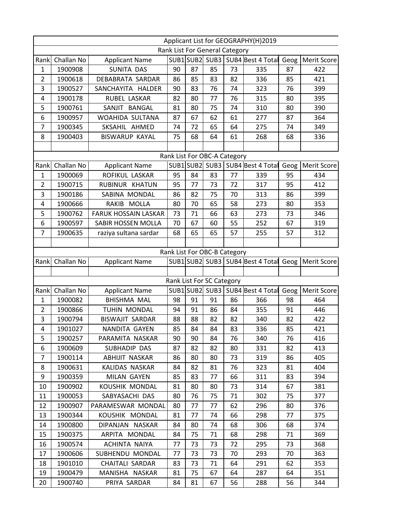|                              | Applicant List for GEOGRAPHY(H)2019 |                             |    |    |                                |    |                                  |      |                    |
|------------------------------|-------------------------------------|-----------------------------|----|----|--------------------------------|----|----------------------------------|------|--------------------|
|                              |                                     |                             |    |    | Rank List For General Category |    |                                  |      |                    |
| Rank                         | Challan No                          | <b>Applicant Name</b>       |    |    | SUB1SUB2 SUB3                  |    | SUB4 Best 4 Total                | Geog | <b>Merit Score</b> |
| 1                            | 1900908                             | <b>SUNITA DAS</b>           | 90 | 87 | 85                             | 73 | 335                              | 87   | 422                |
| $\overline{2}$               | 1900618                             | DEBABRATA SARDAR            | 86 | 85 | 83                             | 82 | 336                              | 85   | 421                |
| 3                            | 1900527                             | SANCHAYITA HALDER           | 90 | 83 | 76                             | 74 | 323                              | 76   | 399                |
| $\overline{4}$               | 1900178                             | RUBEL LASKAR                | 82 | 80 | 77                             | 76 | 315                              | 80   | 395                |
| 5                            | 1900761                             | SANJIT BANGAL               | 81 | 80 | 75                             | 74 | 310                              | 80   | 390                |
| $\boldsymbol{6}$             | 1900957                             | WOAHIDA SULTANA             | 87 | 67 | 62                             | 61 | 277                              | 87   | 364                |
| $\overline{7}$               | 1900345                             | SKSAHIL AHMED               | 74 | 72 | 65                             | 64 | 275                              | 74   | 349                |
| 8                            | 1900403                             | <b>BISWARUP KAYAL</b>       | 75 | 68 | 64                             | 61 | 268                              | 68   | 336                |
|                              |                                     |                             |    |    |                                |    |                                  |      |                    |
| Rank List For OBC-A Category |                                     |                             |    |    |                                |    |                                  |      |                    |
| Rank                         | Challan No                          | <b>Applicant Name</b>       |    |    |                                |    | SUB1 SUB2 SUB3 SUB4 Best 4 Total | Geog | <b>Merit Score</b> |
| 1                            | 1900069                             | ROFIKUL LASKAR              | 95 | 84 | 83                             | 77 | 339                              | 95   | 434                |
| $\overline{2}$               | 1900715                             | RUBINUR KHATUN              | 95 | 77 | 73                             | 72 | 317                              | 95   | 412                |
| 3                            | 1900186                             | SABINA MONDAL               | 86 | 82 | 75                             | 70 | 313                              | 86   | 399                |
| 4                            | 1900666                             | RAKIB MOLLA                 | 80 | 70 | 65                             | 58 | 273                              | 80   | 353                |
| 5                            | 1900762                             | <b>FARUK HOSSAIN LASKAR</b> | 73 | 71 | 66                             | 63 | 273                              | 73   | 346                |
| 6                            | 1900597                             | SABIR HOSSEN MOLLA          | 70 | 67 | 60                             | 55 | 252                              | 67   | 319                |
| $\overline{7}$               | 1900635                             | raziya sultana sardar       | 68 | 65 | 65                             | 57 | 255                              | 57   | 312                |
|                              |                                     |                             |    |    |                                |    |                                  |      |                    |
|                              |                                     |                             |    |    | Rank List For OBC-B Category   |    |                                  |      |                    |
| Rank                         | Challan No                          | <b>Applicant Name</b>       |    |    |                                |    | SUB1 SUB2 SUB3 SUB4 Best 4 Total | Geog | <b>Merit Score</b> |
|                              |                                     |                             |    |    |                                |    |                                  |      |                    |
|                              |                                     |                             |    |    | Rank List For SC Category      |    |                                  |      |                    |
| Rank                         | Challan No                          | <b>Applicant Name</b>       |    |    |                                |    | SUB1 SUB2 SUB3 SUB4 Best 4 Total | Geog | Merit Score        |
| $\mathbf{1}$                 | 1900082                             | <b>BHISHMA MAL</b>          | 98 | 91 | 91                             | 86 | 366                              | 98   | 464                |
| $\overline{2}$               | 1900866                             | TUHIN MONDAL                | 94 | 91 | 86                             | 84 | 355                              | 91   | 446                |
| 3                            | 1900794                             | <b>BISWAJIT SARDAR</b>      | 88 | 88 | 82                             | 82 | 340                              | 82   | 422                |
| $\overline{4}$               | 1901027                             | NANDITA GAYEN               | 85 | 84 | 84                             | 83 | 336                              | 85   | 421                |
| 5                            | 1900257                             | PARAMITA NASKAR             | 90 | 90 | 84                             | 76 | 340                              | 76   | 416                |
| 6                            | 1900609                             | SUBHADIP DAS                | 87 | 82 | 82                             | 80 | 331                              | 82   | 413                |
| 7                            | 1900114                             | ABHIJIT NASKAR              | 86 | 80 | 80                             | 73 | 319                              | 86   | 405                |
| 8                            | 1900631                             | KALIDAS NASKAR              | 84 | 82 | 81                             | 76 | 323                              | 81   | 404                |
| 9                            | 1900359                             | MILAN GAYEN                 | 85 | 83 | 77                             | 66 | 311                              | 83   | 394                |
| 10                           | 1900902                             | KOUSHIK MONDAL              | 81 | 80 | 80                             | 73 | 314                              | 67   | 381                |
| 11                           | 1900053                             | SABYASACHI DAS              | 80 | 76 | 75                             | 71 | 302                              | 75   | 377                |
| 12                           | 1900907                             | PARAMESWAR MONDAL           | 80 | 77 | 77                             | 62 | 296                              | 80   | 376                |
| 13                           | 1900344                             | KOUSHIK MONDAL              | 81 | 77 | 74                             | 66 | 298                              | 77   | 375                |
| 14                           | 1900800                             | DIPANJAN NASKAR             | 84 | 80 | 74                             | 68 | 306                              | 68   | 374                |
| 15                           | 1900375                             | ARPITA MONDAL               | 84 | 75 | 71                             | 68 | 298                              | 71   | 369                |
| 16                           | 1900574                             | ACHINTA NAIYA               | 77 | 73 | 73                             | 72 | 295                              | 73   | 368                |
| 17                           | 1900606                             | SUBHENDU MONDAL             | 77 | 73 | 73                             | 70 | 293                              | 70   | 363                |
| 18                           | 1901010                             | <b>CHAITALI SARDAR</b>      | 83 | 73 | 71                             | 64 | 291                              | 62   | 353                |
| 19                           | 1900479                             | MANISHA NASKAR              | 81 | 75 | 67                             | 64 | 287                              | 64   | 351                |
| 20                           | 1900740                             | PRIYA SARDAR                | 84 | 81 | 67                             | 56 | 288                              | 56   | 344                |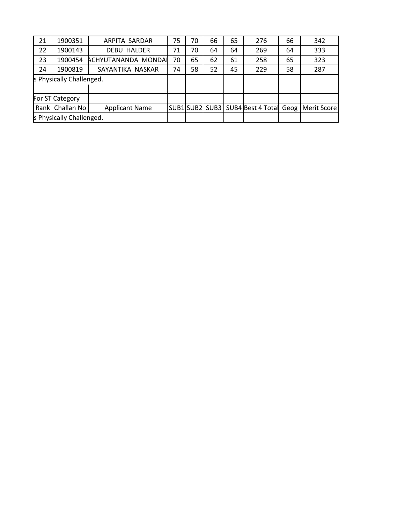| 21 | 1900351                  | ARPITA SARDAR         | 75 | 70 | 66 | 65 | 276 | 66 | 342                                                   |
|----|--------------------------|-----------------------|----|----|----|----|-----|----|-------------------------------------------------------|
| 22 | 1900143                  | <b>DEBU HALDER</b>    | 71 | 70 | 64 | 64 | 269 | 64 | 333                                                   |
| 23 | 1900454                  | ACHYUTANANDA MONDAI   | 70 | 65 | 62 | 61 | 258 | 65 | 323                                                   |
| 24 | 1900819                  | SAYANTIKA NASKAR      | 74 | 58 | 52 | 45 | 229 | 58 | 287                                                   |
|    | s Physically Challenged. |                       |    |    |    |    |     |    |                                                       |
|    |                          |                       |    |    |    |    |     |    |                                                       |
|    | For ST Category          |                       |    |    |    |    |     |    |                                                       |
|    | Rank Challan No          | <b>Applicant Name</b> |    |    |    |    |     |    | SUB1 SUB2 SUB3   SUB4 Best 4 Total Geog   Merit Score |
|    | s Physically Challenged. |                       |    |    |    |    |     |    |                                                       |